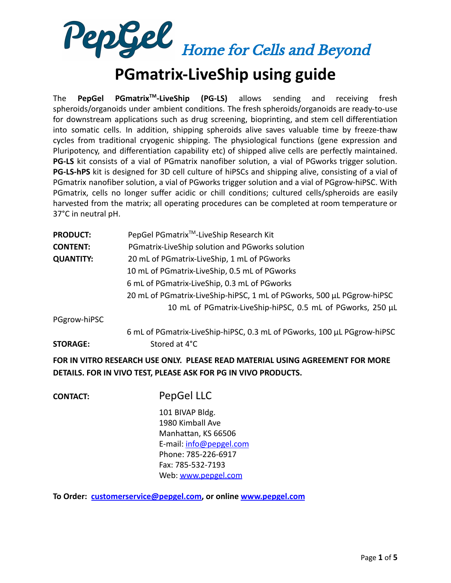

## **PGmatrix-LiveShip using guide**

The **PepGel PGmatrixTM -LiveShip (PG-LS)** allows sending and receiving fresh spheroids/organoids under ambient conditions. The fresh spheroids/organoids are ready-to-use for downstream applications such as drug screening, bioprinting, and stem cell differentiation into somatic cells. In addition, shipping spheroids alive saves valuable time by freeze-thaw cycles from traditional cryogenic shipping. The physiological functions (gene expression and Pluripotency, and differentiation capability etc) of shipped alive cells are perfectly maintained. **PG-LS** kit consists of a vial of PGmatrix nanofiber solution, a vial of PGworks trigger solution. **PG-LS-hPS** kit is designed for 3D cell culture of hiPSCs and shipping alive, consisting of a vial of PGmatrix nanofiber solution, a vial of PGworks trigger solution and a vial of PGgrow-hiPSC. With PGmatrix, cells no longer suffer acidic or chill conditions; cultured cells/spheroids are easily harvested from the matrix; all operating procedures can be completed at room temperature or 37°C in neutral pH.

| <b>PRODUCT:</b>  | PepGel PGmatrix <sup>™</sup> -LiveShip Research Kit                     |  |  |  |
|------------------|-------------------------------------------------------------------------|--|--|--|
| <b>CONTENT:</b>  | PGmatrix-LiveShip solution and PGworks solution                         |  |  |  |
| <b>QUANTITY:</b> | 20 mL of PGmatrix-LiveShip, 1 mL of PGworks                             |  |  |  |
|                  | 10 mL of PGmatrix-LiveShip, 0.5 mL of PGworks                           |  |  |  |
|                  | 6 mL of PGmatrix-LiveShip, 0.3 mL of PGworks                            |  |  |  |
|                  | 20 mL of PGmatrix-LiveShip-hiPSC, 1 mL of PGworks, 500 µL PGgrow-hiPSC  |  |  |  |
|                  | 10 mL of PGmatrix-LiveShip-hiPSC, 0.5 mL of PGworks, 250 µL             |  |  |  |
| PGgrow-hiPSC     |                                                                         |  |  |  |
|                  | 6 mL of PGmatrix-LiveShip-hiPSC, 0.3 mL of PGworks, 100 µL PGgrow-hiPSC |  |  |  |
| <b>STORAGE:</b>  | Stored at 4°C                                                           |  |  |  |

**FOR IN VITRO RESEARCH USE ONLY. PLEASE READ MATERIAL USING AGREEMENT FOR MORE DETAILS. FOR IN VIVO TEST, PLEASE ASK FOR PG IN VIVO PRODUCTS.**

**CONTACT:** PepGel LLC

101 BIVAP Bldg. 1980 Kimball Ave Manhattan, KS 66506 E-mail: [info@pepgel.com](mailto:info@pepgel.com) Phone: 785-226-6917 Fax: 785-532-7193 Web: [www.pepgel.com](http://www.pepgel.com)

**To Order: [customerservice@pepgel.com,](mailto:customerservice@pepgel.com) or online [www.pepgel.com](http://www.pepgel.com)**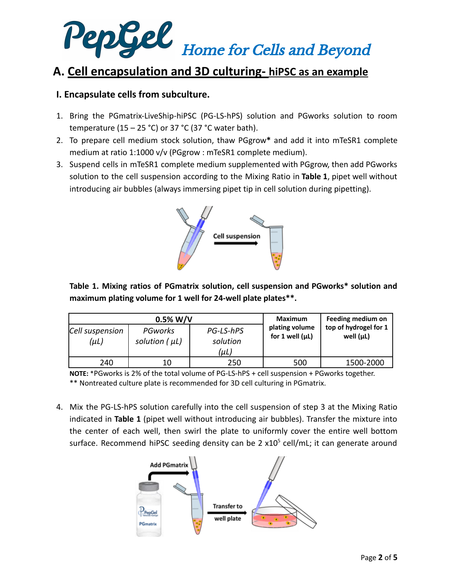

## **A. Cell encapsulation and 3D culturing- hiPSC as an example**

### **I. Encapsulate cells from subculture.**

- 1. Bring the PGmatrix-LiveShip-hiPSC (PG-LS-hPS) solution and PGworks solution to room temperature (15 – 25 °C) or 37 °C (37 °C water bath).
- 2. To prepare cell medium stock solution, thaw PGgrow**\*** and add it into mTeSR1 complete medium at ratio 1:1000 v/v (PGgrow : mTeSR1 complete medium).
- 3. Suspend cells in mTeSR1 complete medium supplemented with PGgrow, then add PGworks solution to the cell suspension according to the Mixing Ratio in **Table 1**, pipet well without introducing air bubbles (always immersing pipet tip in cell solution during pipetting).



**Table 1. Mixing ratios of PGmatrix solution, cell suspension and PGworks\* solution and maximum plating volume for 1 well for 24-well plate plates\*\*.**

| $0.5\%$ W/V             |                               |                               | Maximum                                   | Feeding medium on                       |
|-------------------------|-------------------------------|-------------------------------|-------------------------------------------|-----------------------------------------|
| Cell suspension<br>(µL) | PGworks<br>solution $(\mu L)$ | PG-LS-hPS<br>solution<br>(µL) | plating volume<br>for $1$ well ( $\mu$ L) | top of hydrogel for 1<br>well $(\mu L)$ |
| 240                     | 10                            | 250                           | 500                                       | 1500-2000                               |

**NOTE:** \*PGworks is 2% of the total volume of PG-LS-hPS + cell suspension + PGworks together. \*\* Nontreated culture plate is recommended for 3D cell culturing in PGmatrix.

4. Mix the PG-LS-hPS solution carefully into the cell suspension of step 3 at the Mixing Ratio indicated in **Table 1** (pipet well without introducing air bubbles). Transfer the mixture into the center of each well, then swirl the plate to uniformly cover the entire well bottom surface. Recommend hiPSC seeding density can be 2  $x10<sup>5</sup>$  cell/mL; it can generate around

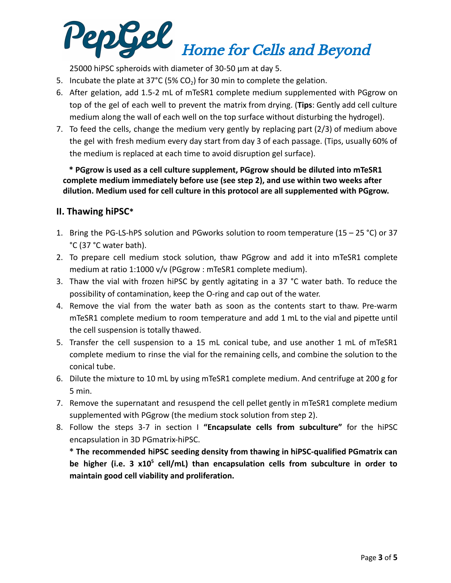# PepGel Home for Cells and Beyond

25000 hiPSC spheroids with diameter of 30-50 µm at day 5.

- 5. Incubate the plate at 37°C (5% CO<sub>2</sub>) for 30 min to complete the gelation.
- 6. After gelation, add 1.5-2 mL of mTeSR1 complete medium supplemented with PGgrow on top of the gel of each well to prevent the matrix from drying. (**Tips**: Gently add cell culture medium along the wall of each well on the top surface without disturbing the hydrogel).
- 7. To feed the cells, change the medium very gently by replacing part (2/3) of medium above the gel with fresh medium every day start from day 3 of each passage. (Tips, usually 60% of the medium is replaced at each time to avoid disruption gel surface).

**\* PGgrow is used as a cell culture supplement, PGgrow should be diluted into mTeSR1 complete medium immediately before use (see step 2), and use within two weeks after dilution. Medium used for cell culture in this protocol are all supplemented with PGgrow.**

## **II. Thawing hiPSC\***

- 1. Bring the PG-LS-hPS solution and PGworks solution to room temperature (15 25 °C) or 37 °C (37 °C water bath).
- 2. To prepare cell medium stock solution, thaw PGgrow and add it into mTeSR1 complete medium at ratio 1:1000 v/v (PGgrow : mTeSR1 complete medium).
- 3. Thaw the vial with frozen hiPSC by gently agitating in a 37 °C water bath. To reduce the possibility of contamination, keep the O-ring and cap out of the water.
- 4. Remove the vial from the water bath as soon as the contents start to thaw. Pre-warm mTeSR1 complete medium to room temperature and add 1 mL to the vial and pipette until the cell suspension is totally thawed.
- 5. Transfer the cell suspension to a 15 mL conical tube, and use another 1 mL of mTeSR1 complete medium to rinse the vial for the remaining cells, and combine the solution to the conical tube.
- 6. Dilute the mixture to 10 mL by using mTeSR1 complete medium. And centrifuge at 200 g for 5 min.
- 7. Remove the supernatant and resuspend the cell pellet gently in mTeSR1 complete medium supplemented with PGgrow (the medium stock solution from step 2).
- 8. Follow the steps 3-7 in section I **"Encapsulate cells from subculture"** for the hiPSC encapsulation in 3D PGmatrix-hiPSC.

**\* The recommended hiPSC seeding density from thawing in hiPSC-qualified PGmatrix can be higher (i.e. 3 x10<sup>5</sup> cell/mL) than encapsulation cells from subculture in order to maintain good cell viability and proliferation.**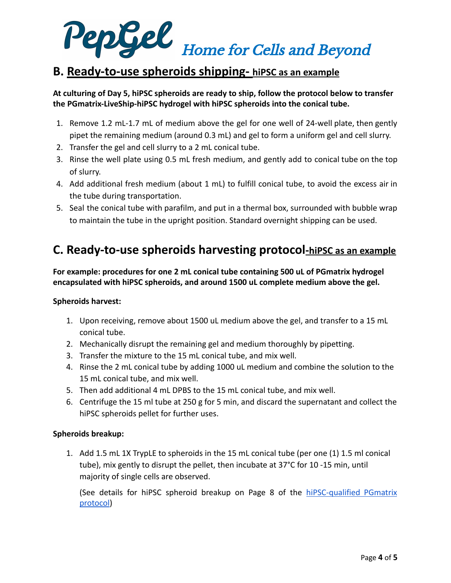

## **B. Ready-to-use spheroids shipping- hiPSC as an example**

#### **At culturing of Day 5, hiPSC spheroids are ready to ship, follow the protocol below to transfer the PGmatrix-LiveShip-hiPSC hydrogel with hiPSC spheroids into the conical tube.**

- 1. Remove 1.2 mL-1.7 mL of medium above the gel for one well of 24-well plate, then gently pipet the remaining medium (around 0.3 mL) and gel to form a uniform gel and cell slurry.
- 2. Transfer the gel and cell slurry to a 2 mL conical tube.
- 3. Rinse the well plate using 0.5 mL fresh medium, and gently add to conical tube on the top of slurry.
- 4. Add additional fresh medium (about 1 mL) to fulfill conical tube, to avoid the excess air in the tube during transportation.
- 5. Seal the conical tube with parafilm, and put in a thermal box, surrounded with bubble wrap to maintain the tube in the upright position. Standard overnight shipping can be used.

## **C. Ready-to-use spheroids harvesting protocol-hiPSC as an example**

**For example: procedures for one 2 mL conical tube containing 500 uL of PGmatrix hydrogel encapsulated with hiPSC spheroids, and around 1500 uL complete medium above the gel.**

#### **Spheroids harvest:**

- 1. Upon receiving, remove about 1500 uL medium above the gel, and transfer to a 15 mL conical tube.
- 2. Mechanically disrupt the remaining gel and medium thoroughly by pipetting.
- 3. Transfer the mixture to the 15 mL conical tube, and mix well.
- 4. Rinse the 2 mL conical tube by adding 1000 uL medium and combine the solution to the 15 mL conical tube, and mix well.
- 5. Then add additional 4 mL DPBS to the 15 mL conical tube, and mix well.
- 6. Centrifuge the 15 ml tube at 250 g for 5 min, and discard the supernatant and collect the hiPSC spheroids pellet for further uses.

#### **Spheroids breakup:**

1. Add 1.5 mL 1X TrypLE to spheroids in the 15 mL conical tube (per one (1) 1.5 ml conical tube), mix gently to disrupt the pellet, then incubate at 37°C for 10 -15 min, until majority of single cells are observed.

(See details for hiPSC spheroid breakup on Page 8 of the [hiPSC-qualified](http://www.pepgel.com/PDF/hiPSC_qualified_PGmatrix_Using_Guides_01_2021.pdf) PGmatrix [protocol\)](http://www.pepgel.com/PDF/hiPSC_qualified_PGmatrix_Using_Guides_01_2021.pdf)